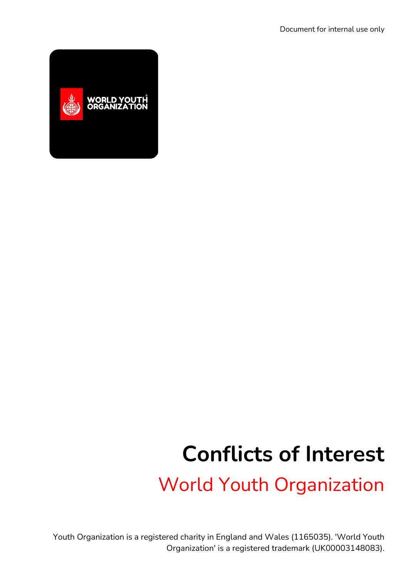

# **Conflicts of Interest**

World Youth Organization

Youth Organization is a registered charity in England and Wales (1165035). 'World Youth Organization' is a registered trademark (UK00003148083).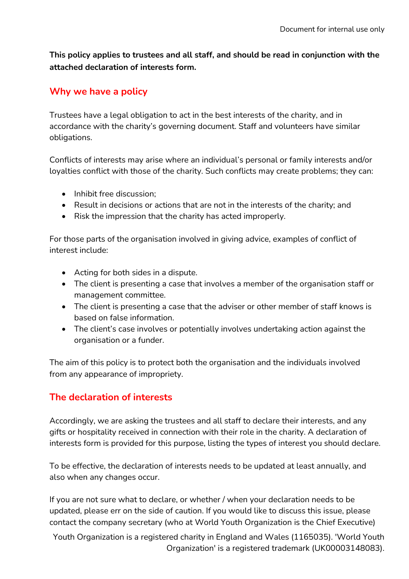**This policy applies to trustees and all staff, and should be read in conjunction with the attached declaration of interests form.**

### **Why we have a policy**

Trustees have a legal obligation to act in the best interests of the charity, and in accordance with the charity's governing document. Staff and volunteers have similar obligations.

Conflicts of interests may arise where an individual's personal or family interests and/or loyalties conflict with those of the charity. Such conflicts may create problems; they can:

- Inhibit free discussion:
- Result in decisions or actions that are not in the interests of the charity; and
- Risk the impression that the charity has acted improperly.

For those parts of the organisation involved in giving advice, examples of conflict of interest include:

- Acting for both sides in a dispute.
- The client is presenting a case that involves a member of the organisation staff or management committee.
- The client is presenting a case that the adviser or other member of staff knows is based on false information.
- The client's case involves or potentially involves undertaking action against the organisation or a funder.

The aim of this policy is to protect both the organisation and the individuals involved from any appearance of impropriety.

## **The declaration of interests**

Accordingly, we are asking the trustees and all staff to declare their interests, and any gifts or hospitality received in connection with their role in the charity. A declaration of interests form is provided for this purpose, listing the types of interest you should declare.

To be effective, the declaration of interests needs to be updated at least annually, and also when any changes occur.

If you are not sure what to declare, or whether / when your declaration needs to be updated, please err on the side of caution. If you would like to discuss this issue, please contact the company secretary (who at World Youth Organization is the Chief Executive)

Youth Organization is a registered charity in England and Wales (1165035). 'World Youth Organization' is a registered trademark (UK00003148083).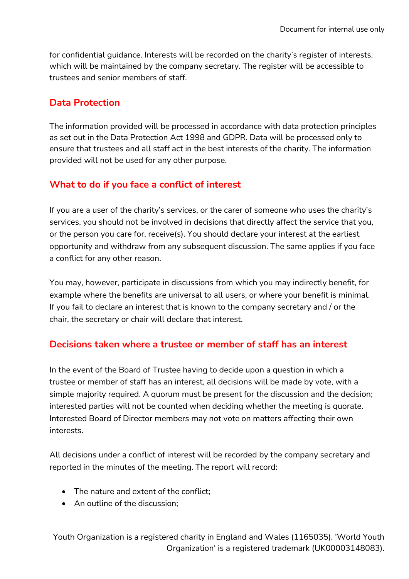for confidential guidance. Interests will be recorded on the charity's register of interests, which will be maintained by the company secretary. The register will be accessible to trustees and senior members of staff.

#### **Data Protection**

The information provided will be processed in accordance with data protection principles as set out in the Data Protection Act 1998 and GDPR. Data will be processed only to ensure that trustees and all staff act in the best interests of the charity. The information provided will not be used for any other purpose.

## **What to do if you face a conflict of interest**

If you are a user of the charity's services, or the carer of someone who uses the charity's services, you should not be involved in decisions that directly affect the service that you, or the person you care for, receive(s). You should declare your interest at the earliest opportunity and withdraw from any subsequent discussion. The same applies if you face a conflict for any other reason.

You may, however, participate in discussions from which you may indirectly benefit, for example where the benefits are universal to all users, or where your benefit is minimal. If you fail to declare an interest that is known to the company secretary and / or the chair, the secretary or chair will declare that interest.

## **Decisions taken where a trustee or member of staff has an interest**

In the event of the Board of Trustee having to decide upon a question in which a trustee or member of staff has an interest, all decisions will be made by vote, with a simple majority required. A quorum must be present for the discussion and the decision; interested parties will not be counted when deciding whether the meeting is quorate. Interested Board of Director members may not vote on matters affecting their own interests.

All decisions under a conflict of interest will be recorded by the company secretary and reported in the minutes of the meeting. The report will record:

- The nature and extent of the conflict;
- An outline of the discussion:

Youth Organization is a registered charity in England and Wales (1165035). 'World Youth Organization' is a registered trademark (UK00003148083).